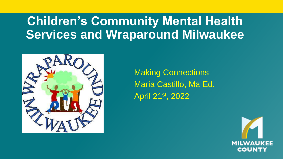#### **Children's Community Mental Health Services and Wraparound Milwaukee**



Making Connections Maria Castillo, Ma Ed. April 21st, 2022

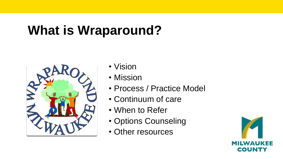## **What is Wraparound?**



- Vision
- Mission
- Process / Practice Model
- Continuum of care
- When to Refer
- Options Counseling
- Other resources

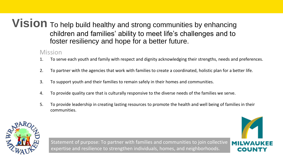**Vision** To help build healthy and strong communities by enhancing children and families' ability to meet life's challenges and to foster resiliency and hope for a better future.

#### Mission

- 1. To serve each youth and family with respect and dignity acknowledging their strengths, needs and preferences.
- 2. To partner with the agencies that work with families to create a coordinated, holistic plan for a better life.
- 3. To support youth and their families to remain safely in their homes and communities.
- 4. To provide quality care that is culturally responsive to the diverse needs of the families we serve.
- 5. To provide leadership in creating lasting resources to promote the health and well being of families in their communities.



Statement of purpose: To partner with families and communities to join collective expertise and resilience to strengthen individuals, homes, and neighborhoods.

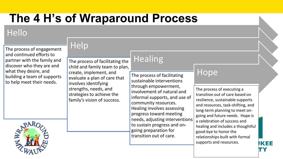#### **The 4 H's of Wraparound Process**

#### Hello

The process of engagement and continued efforts to partner with the family and discover who they are and what they desire, and building a team of supports to help meet their needs.

**Help** 

The process of facilitating the child and family team to plan, create, implement, and evaluate a plan of care that involves identifying strengths, needs, and strategies to achieve the family's vision of success.

#### **Healing**

The process of facilitating sustainable interventions through empowerment, involvement of natural and informal supports, and use of community resources. Healing involves assessing progress toward meeting needs, adjusting interventions to sustain progress and ongoing preparation for transition out of care.

#### Hope

The process of executing a transition out of care based on resilience, sustainable supports and resources, task-shifting, and long-term planning to meet ongoing and future needs. Hope is a celebration of success and healing and includes a thoughtful good-bye to honor the relationships built with formal supports and resources.

JKEE

TΥ

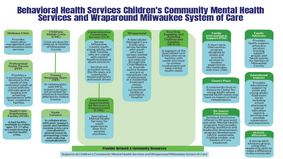# Behavioral Health Services Children's Community Mental Health<br>Services and Wraparound Milwaukee System of Care



Supports all Children's Community Mental Health Services and Wraparound Milwaukee System of Care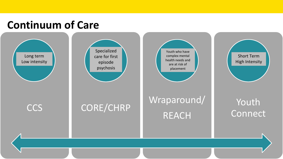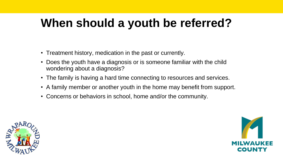#### **When should a youth be referred?**

- Treatment history, medication in the past or currently.
- Does the youth have a diagnosis or is someone familiar with the child wondering about a diagnosis?
- The family is having a hard time connecting to resources and services.
- A family member or another youth in the home may benefit from support.
- Concerns or behaviors in school, home and/or the community.



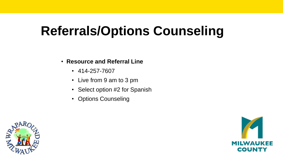# **Referrals/Options Counseling**

#### • **Resource and Referral Line**

- 414-257-7607
- Live from 9 am to 3 pm
- Select option #2 for Spanish
- Options Counseling



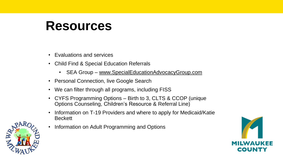### **Resources**

- Evaluations and services
- Child Find & Special Education Referrals
	- SEA Group [www.SpecialEducationAdvocacyGroup.com](http://www.specialeducationadvocacygroup.com/)
- Personal Connection, live Google Search
- We can filter through all programs, including FISS
- CYFS Programming Options Birth to 3, CLTS & CCOP (unique Options Counseling, Children's Resource & Referral Line)
- Information on T-19 Providers and where to apply for Medicaid/Katie **Beckett**
- Information on Adult Programming and Options



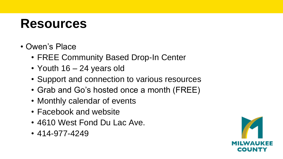### **Resources**

- Owen's Place
	- FREE Community Based Drop-In Center
	- Youth 16 24 years old
	- Support and connection to various resources
	- Grab and Go's hosted once a month (FREE)
	- Monthly calendar of events
	- Facebook and website
	- 4610 West Fond Du Lac Ave.
	- 414-977-4249

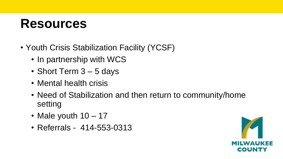### **Resources**

- Youth Crisis Stabilization Facility (YCSF)
	- In partnership with WCS
	- Short Term 3 5 days
	- Mental health crisis
	- Need of Stabilization and then return to community/home setting
	- Male youth 10 17
	- Referrals 414-553-0313

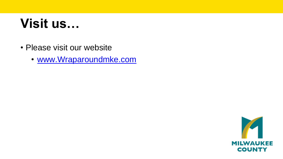## **Visit us…**

- Please visit our website
	- [www.Wraparoundmke.com](http://www.wraparoundmke.com/)

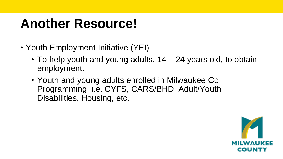## **Another Resource!**

- Youth Employment Initiative (YEI)
	- To help youth and young adults, 14 24 years old, to obtain employment.
	- Youth and young adults enrolled in Milwaukee Co Programming, i.e. CYFS, CARS/BHD, Adult/Youth Disabilities, Housing, etc.

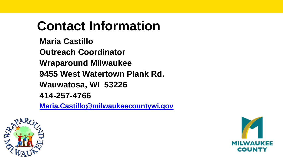# **Contact Information**

**Maria Castillo**

**Outreach Coordinator** 

**Wraparound Milwaukee**

**9455 West Watertown Plank Rd.**

**Wauwatosa, WI 53226**

**414-257-4766**

**[Maria.Castillo@milwaukeecountywi.gov](mailto:Maria.Castillo@milwaukeecountywi.gov)**